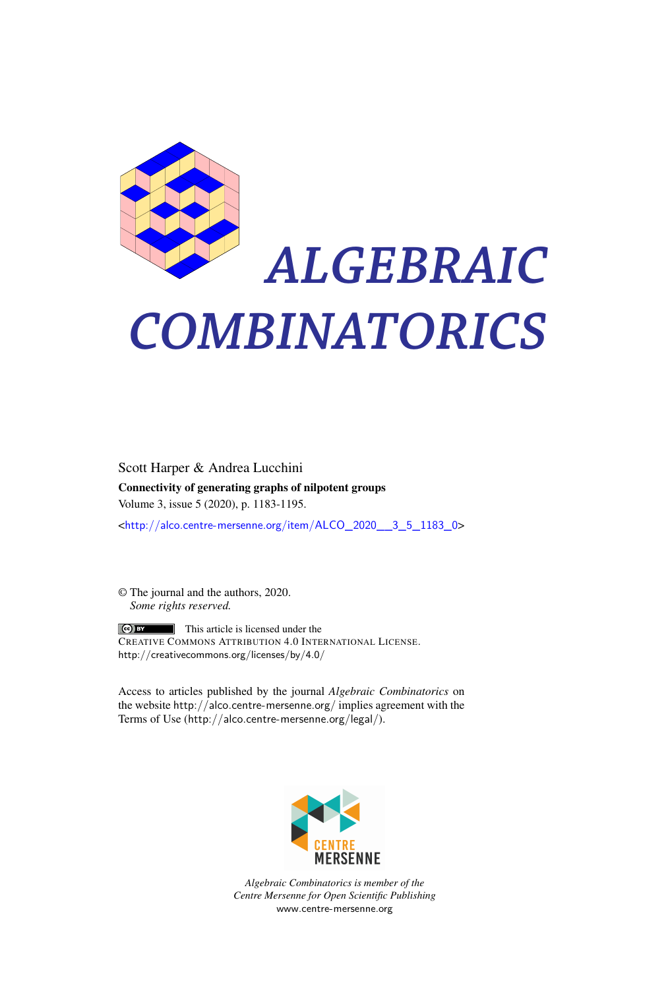

# *ALGEBRAIC COMBINATORICS*

Scott Harper & Andrea Lucchini Connectivity of generating graphs of nilpotent groups Volume 3, issue 5 (2020), p. 1183-1195.

<[http://alco.centre-mersenne.org/item/ALCO\\_2020\\_\\_3\\_5\\_1183\\_0](http://alco.centre-mersenne.org/item/ALCO_2020__3_5_1183_0)>

© The journal and the authors, 2020. *Some rights reserved.*

**C** EX This article is licensed under the CREATIVE COMMONS ATTRIBUTION 4.0 INTERNATIONAL LICENSE. <http://creativecommons.org/licenses/by/4.0/>

Access to articles published by the journal *Algebraic Combinatorics* on the website <http://alco.centre-mersenne.org/> implies agreement with the Terms of Use (<http://alco.centre-mersenne.org/legal/>).



*Algebraic Combinatorics is member of the Centre Mersenne for Open Scientific Publishing* <www.centre-mersenne.org>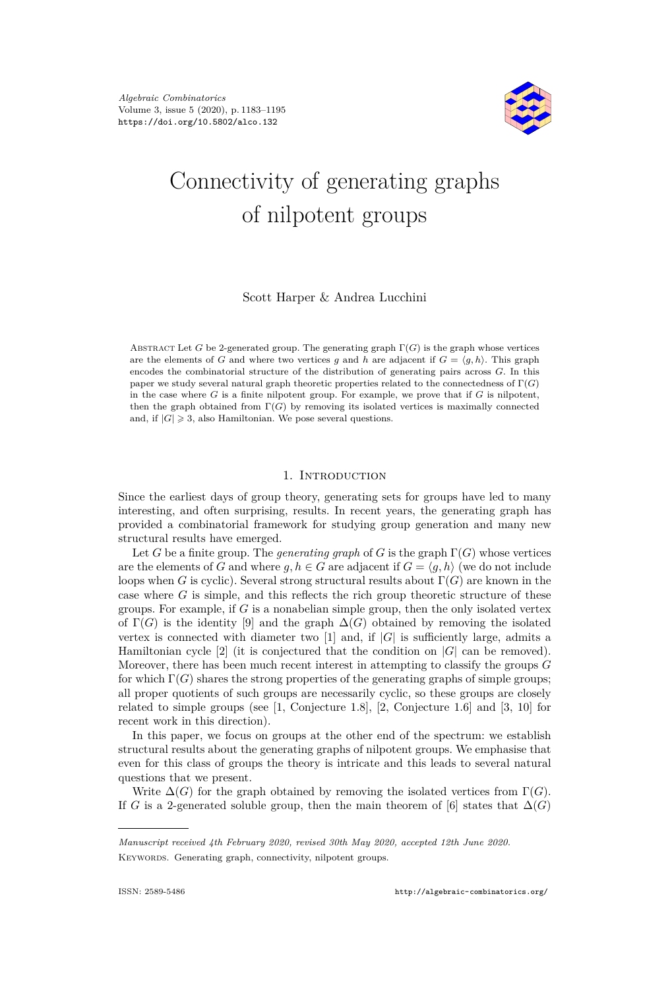

# Connectivity of generating graphs of nilpotent groups

# Scott Harper & Andrea Lucchini

ABSTRACT Let *G* be 2-generated group. The generating graph  $\Gamma(G)$  is the graph whose vertices are the elements of *G* and where two vertices *q* and *h* are adjacent if  $G = \langle q, h \rangle$ . This graph encodes the combinatorial structure of the distribution of generating pairs across *G*. In this paper we study several natural graph theoretic properties related to the connectedness of Γ(*G*) in the case where  $G$  is a finite nilpotent group. For example, we prove that if  $G$  is nilpotent, then the graph obtained from Γ(*G*) by removing its isolated vertices is maximally connected and, if  $|G| \geq 3$ , also Hamiltonian. We pose several questions.

## 1. INTRODUCTION

Since the earliest days of group theory, generating sets for groups have led to many interesting, and often surprising, results. In recent years, the generating graph has provided a combinatorial framework for studying group generation and many new structural results have emerged.

Let *G* be a finite group. The *generating graph* of *G* is the graph  $\Gamma(G)$  whose vertices are the elements of *G* and where  $g, h \in G$  are adjacent if  $G = \langle g, h \rangle$  (we do not include loops when *G* is cyclic). Several strong structural results about  $\Gamma(G)$  are known in the case where *G* is simple, and this reflects the rich group theoretic structure of these groups. For example, if *G* is a nonabelian simple group, then the only isolated vertex of  $\Gamma(G)$  is the identity [\[9\]](#page-13-0) and the graph  $\Delta(G)$  obtained by removing the isolated vertex is connected with diameter two  $[1]$  and, if  $|G|$  is sufficiently large, admits a Hamiltonian cycle [\[2\]](#page-13-2) (it is conjectured that the condition on |*G*| can be removed). Moreover, there has been much recent interest in attempting to classify the groups *G* for which  $\Gamma(G)$  shares the strong properties of the generating graphs of simple groups; all proper quotients of such groups are necessarily cyclic, so these groups are closely related to simple groups (see [\[1,](#page-13-1) Conjecture 1.8], [\[2,](#page-13-2) Conjecture 1.6] and [\[3,](#page-13-3) [10\]](#page-13-4) for recent work in this direction).

In this paper, we focus on groups at the other end of the spectrum: we establish structural results about the generating graphs of nilpotent groups. We emphasise that even for this class of groups the theory is intricate and this leads to several natural questions that we present.

Write  $\Delta(G)$  for the graph obtained by removing the isolated vertices from  $\Gamma(G)$ . If *G* is a 2-generated soluble group, then the main theorem of [\[6\]](#page-13-5) states that  $\Delta(G)$ 

*Manuscript received 4th February 2020, revised 30th May 2020, accepted 12th June 2020.* KEYWORDS. Generating graph, connectivity, nilpotent groups.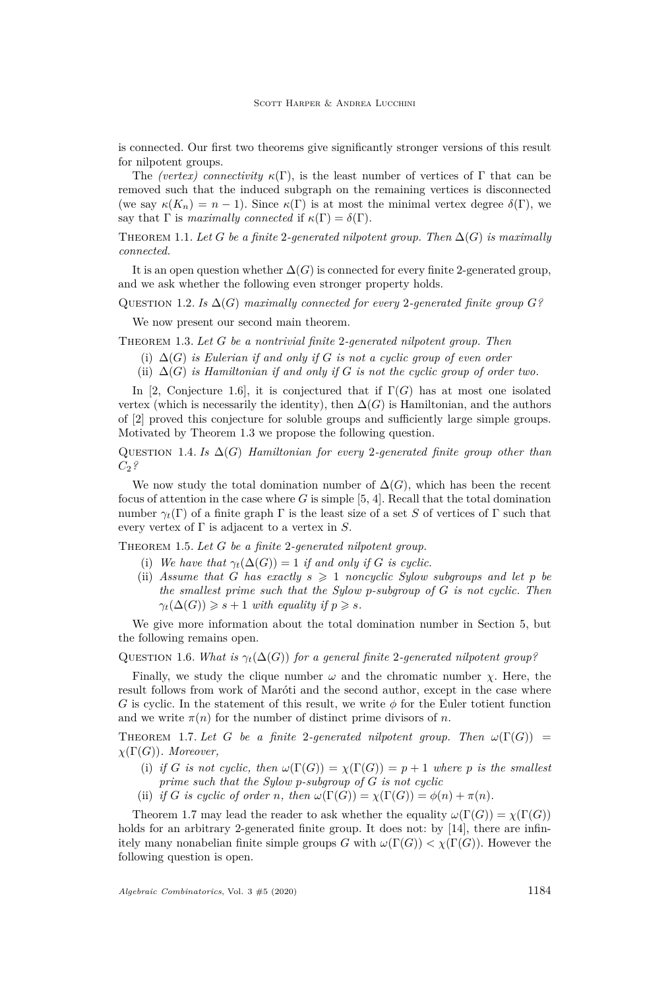is connected. Our first two theorems give significantly stronger versions of this result for nilpotent groups.

The *(vertex)* connectivity  $\kappa(\Gamma)$ , is the least number of vertices of  $\Gamma$  that can be removed such that the induced subgraph on the remaining vertices is disconnected (we say  $\kappa(K_n) = n - 1$ ). Since  $\kappa(\Gamma)$  is at most the minimal vertex degree  $\delta(\Gamma)$ , we say that  $\Gamma$  is *maximally connected* if  $\kappa(\Gamma) = \delta(\Gamma)$ .

<span id="page-2-2"></span>THEOREM 1.1. Let *G* be a finite 2-generated nilpotent group. Then  $\Delta(G)$  is maximally *connected.*

It is an open question whether  $\Delta(G)$  is connected for every finite 2-generated group, and we ask whether the following even stronger property holds.

QUESTION 1.2. *Is*  $\Delta(G)$  *maximally connected for every* 2-generated finite group  $G$ ?

We now present our second main theorem.

<span id="page-2-3"></span><span id="page-2-0"></span>Theorem 1.3. *Let G be a nontrivial finite* 2*-generated nilpotent group. Then*

(i) ∆(*G*) *is Eulerian if and only if G is not a cyclic group of even order*

<span id="page-2-4"></span>(ii) ∆(*G*) *is Hamiltonian if and only if G is not the cyclic group of order two.*

In [\[2,](#page-13-2) Conjecture 1.6], it is conjectured that if  $\Gamma(G)$  has at most one isolated vertex (which is necessarily the identity), then  $\Delta(G)$  is Hamiltonian, and the authors of [\[2\]](#page-13-2) proved this conjecture for soluble groups and sufficiently large simple groups. Motivated by Theorem [1.3](#page-2-0) we propose the following question.

Question 1.4. *Is* ∆(*G*) *Hamiltonian for every* 2*-generated finite group other than C*2*?*

We now study the total domination number of  $\Delta(G)$ , which has been the recent focus of attention in the case where *G* is simple [\[5,](#page-13-6) [4\]](#page-13-7). Recall that the total domination number  $\gamma_t(\Gamma)$  of a finite graph  $\Gamma$  is the least size of a set *S* of vertices of  $\Gamma$  such that every vertex of Γ is adjacent to a vertex in *S*.

<span id="page-2-5"></span>Theorem 1.5. *Let G be a finite* 2*-generated nilpotent group.*

- (i) We have that  $\gamma_t(\Delta(G)) = 1$  *if and only if G is cyclic.*
- (ii) Assume that G has exactly  $s \geq 1$  noncyclic Sylow subgroups and let p be *the smallest prime such that the Sylow p-subgroup of G is not cyclic. Then*  $\gamma_t(\Delta(G)) \geq s + 1$  *with equality if*  $p \geq s$ *.*

We give more information about the total domination number in Section [5,](#page-10-0) but the following remains open.

QUESTION 1.6. *What is*  $\gamma_t(\Delta(G))$  *for a general finite* 2*-generated nilpotent group?* 

Finally, we study the clique number  $\omega$  and the chromatic number  $\chi$ . Here, the result follows from work of Maróti and the second author, except in the case where *G* is cyclic. In the statement of this result, we write *φ* for the Euler totient function and we write  $\pi(n)$  for the number of distinct prime divisors of *n*.

<span id="page-2-1"></span>THEOREM 1.7. Let *G* be a finite 2-generated nilpotent group. Then  $\omega(\Gamma(G))$  = *χ*(Γ(*G*))*. Moreover,*

- (i) *if G is not cyclic, then*  $\omega(\Gamma(G)) = \chi(\Gamma(G)) = p + 1$  *where p is the smallest prime such that the Sylow p-subgroup of G is not cyclic*
- (ii) *if G is cyclic of order n, then*  $\omega(\Gamma(G)) = \chi(\Gamma(G)) = \phi(n) + \pi(n)$ *.*

Theorem [1.7](#page-2-1) may lead the reader to ask whether the equality  $\omega(\Gamma(G)) = \chi(\Gamma(G))$ holds for an arbitrary 2-generated finite group. It does not: by [\[14\]](#page-13-8), there are infinitely many nonabelian finite simple groups *G* with  $\omega(\Gamma(G)) < \chi(\Gamma(G))$ . However the following question is open.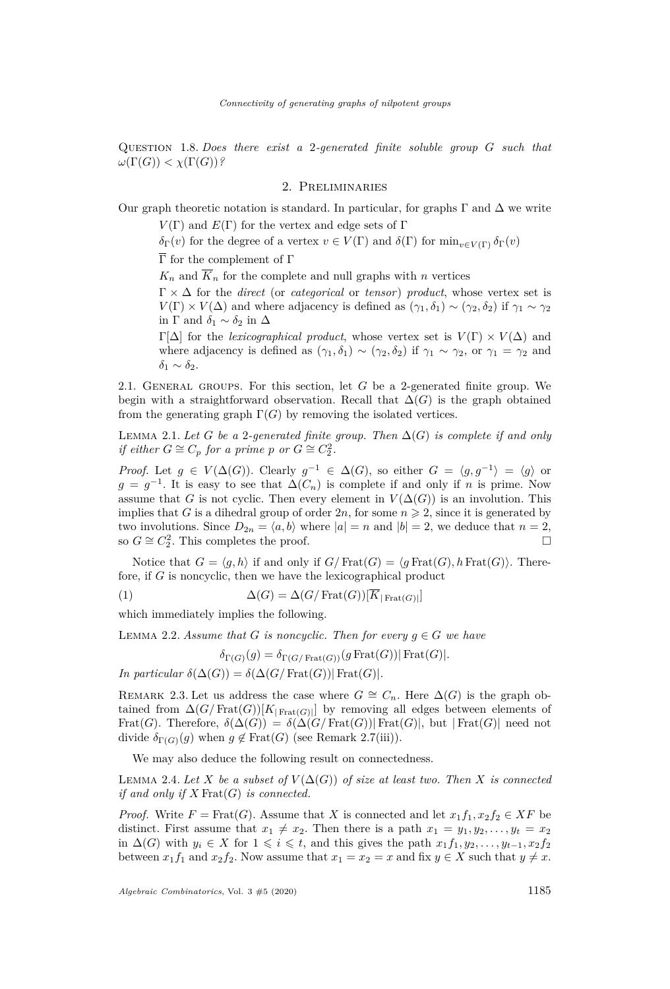Question 1.8. *Does there exist a* 2*-generated finite soluble group G such that*  $\omega(\Gamma(G)) < \chi(\Gamma(G))$ ?

# 2. Preliminaries

Our graph theoretic notation is standard. In particular, for graphs  $\Gamma$  and  $\Delta$  we write

 $V(\Gamma)$  and  $E(\Gamma)$  for the vertex and edge sets of  $\Gamma$ 

*δ*Γ(*v*) for the degree of a vertex *v* ∈ *V*(Γ) and *δ*(Γ) for min<sub>*v*∈*V*(Γ)</sub> *δ*<sub>Γ</sub>(*v*)

 $\overline{\Gamma}$  for the complement of  $\Gamma$ 

 $K_n$  and  $\overline{K}_n$  for the complete and null graphs with *n* vertices

 $\Gamma \times \Delta$  for the *direct* (or *categorical* or *tensor*) *product*, whose vertex set is  $V(\Gamma) \times V(\Delta)$  and where adjacency is defined as  $(\gamma_1, \delta_1) \sim (\gamma_2, \delta_2)$  if  $\gamma_1 \sim \gamma_2$ in  $\Gamma$  and  $\delta_1 \sim \delta_2$  in  $\Delta$ 

Γ[Δ] for the *lexicographical product*, whose vertex set is  $V(Γ) \times V(Δ)$  and where adjacency is defined as  $(\gamma_1, \delta_1) \sim (\gamma_2, \delta_2)$  if  $\gamma_1 \sim \gamma_2$ , or  $\gamma_1 = \gamma_2$  and  $δ<sub>1</sub> ∼ δ<sub>2</sub>$ .

2.1. General groups. For this section, let *G* be a 2-generated finite group. We begin with a straightforward observation. Recall that  $\Delta(G)$  is the graph obtained from the generating graph  $\Gamma(G)$  by removing the isolated vertices.

<span id="page-3-2"></span>LEMMA 2.1. Let *G* be a 2-generated finite group. Then  $\Delta(G)$  is complete if and only *if either*  $G \cong C_p$  *for a prime p or*  $G \cong C_2^2$ *.* 

*Proof.* Let  $g \in V(\Delta(G))$ . Clearly  $g^{-1} \in \Delta(G)$ , so either  $G = \langle g, g^{-1} \rangle = \langle g \rangle$  or  $g = g^{-1}$ . It is easy to see that  $\Delta(C_n)$  is complete if and only if *n* is prime. Now assume that *G* is not cyclic. Then every element in  $V(\Delta(G))$  is an involution. This implies that *G* is a dihedral group of order  $2n$ , for some  $n \geq 2$ , since it is generated by two involutions. Since  $D_{2n} = \langle a, b \rangle$  where  $|a| = n$  and  $|b| = 2$ , we deduce that  $n = 2$ , so  $G \cong C_2^2$ . This completes the proof. □

Notice that  $G = \langle g, h \rangle$  if and only if  $G/\text{Frat}(G) = \langle g \text{Frat}(G), h \text{Frat}(G) \rangle$ . Therefore, if *G* is noncyclic, then we have the lexicographical product

(1) 
$$
\Delta(G) = \Delta(G/\text{Frat}(G))[K_{|\text{Frat}(G)|}]
$$

which immediately implies the following.

<span id="page-3-4"></span>LEMMA 2.2. *Assume that G is noncyclic. Then for every*  $g \in G$  *we have* 

<span id="page-3-0"></span> $\delta_{\Gamma(G)}(q) = \delta_{\Gamma(G/\text{Frat}(G))}(q \text{Frat}(G)) | \text{Frat}(G)|.$ 

*In particular*  $\delta(\Delta(G)) = \delta(\Delta(G/\text{Frat}(G)) | \text{Frat}(G)).$ 

<span id="page-3-1"></span>REMARK 2.3. Let us address the case where  $G \cong C_n$ . Here  $\Delta(G)$  is the graph obtained from  $\Delta(G/\text{Frat}(G))[K_{|\text{Frat}(G)|}]$  by removing all edges between elements of Frat(*G*). Therefore,  $\delta(\Delta(G)) = \delta(\Delta(G/\text{Frat}(G))|\text{Frat}(G)|$ , but  $|\text{Frat}(G)|$  need not divide  $\delta_{\Gamma(G)}(g)$  when  $g \notin \text{Frat}(G)$  (see Remark [2.7](#page-4-0)[\(iii\)\)](#page-5-0).

We may also deduce the following result on connectedness.

<span id="page-3-3"></span>LEMMA 2.4. Let X be a subset of  $V(\Delta(G))$  of size at least two. Then X is connected *if and only if X* Frat(*G*) *is connected.*

*Proof.* Write  $F = \text{Frat}(G)$ . Assume that *X* is connected and let  $x_1f_1, x_2f_2 \in XF$  be distinct. First assume that  $x_1 \neq x_2$ . Then there is a path  $x_1 = y_1, y_2, \ldots, y_t = x_2$ in  $\Delta(G)$  with  $y_i \in X$  for  $1 \leq i \leq t$ , and this gives the path  $x_1 f_1, y_2, \ldots, y_{t-1}, x_2 f_2$ between  $x_1 f_1$  and  $x_2 f_2$ . Now assume that  $x_1 = x_2 = x$  and fix  $y \in X$  such that  $y \neq x$ .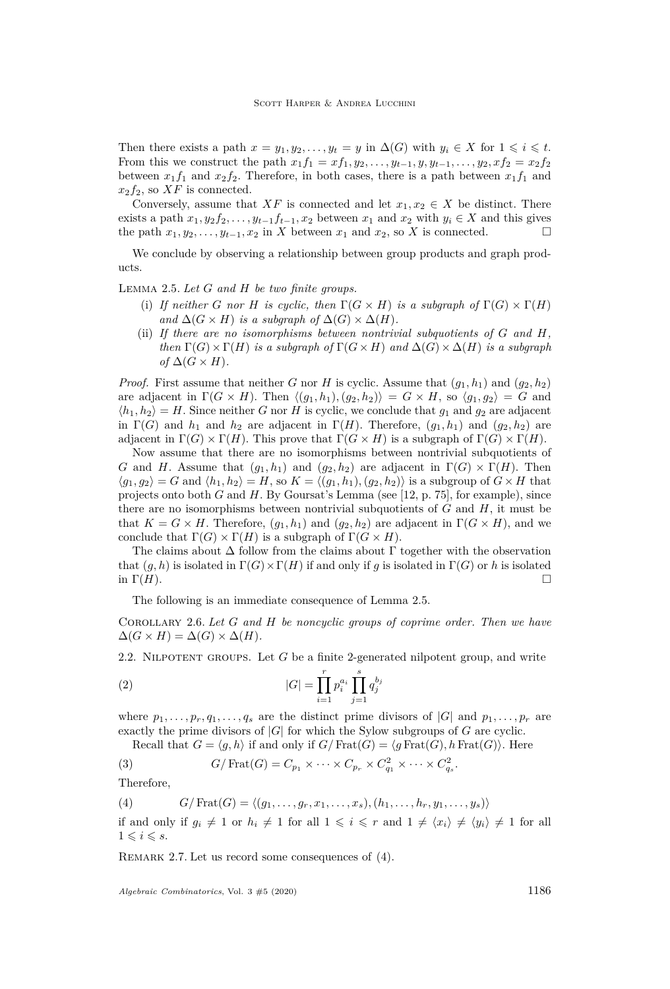Then there exists a path  $x = y_1, y_2, \ldots, y_t = y$  in  $\Delta(G)$  with  $y_i \in X$  for  $1 \leq i \leq t$ . From this we construct the path  $x_1 f_1 = x f_1, y_2, \ldots, y_{t-1}, y, y_{t-1}, \ldots, y_2, x f_2 = x_2 f_2$ between  $x_1 f_1$  and  $x_2 f_2$ . Therefore, in both cases, there is a path between  $x_1 f_1$  and  $x_2f_2$ , so  $XF$  is connected.

Conversely, assume that  $XF$  is connected and let  $x_1, x_2 \in X$  be distinct. There exists a path  $x_1, y_2 f_2, \ldots, y_{t-1} f_{t-1}, x_2$  between  $x_1$  and  $x_2$  with  $y_i \in X$  and this gives the path  $x_1, y_2, \ldots, y_{t-1}, x_2$  in *X* between  $x_1$  and  $x_2$ , so *X* is connected.

We conclude by observing a relationship between group products and graph products.

<span id="page-4-6"></span><span id="page-4-1"></span>Lemma 2.5. *Let G and H be two finite groups.*

- (i) If neither *G* nor *H* is cyclic, then  $\Gamma(G \times H)$  is a subgraph of  $\Gamma(G) \times \Gamma(H)$ *and*  $\Delta(G \times H)$  *is a subgraph of*  $\Delta(G) \times \Delta(H)$ *.*
- (ii) *If there are no isomorphisms between nontrivial subquotients of G and H, then*  $\Gamma(G) \times \Gamma(H)$  *is a subgraph of*  $\Gamma(G \times H)$  *and*  $\Delta(G) \times \Delta(H)$  *is a subgraph*  $of \Delta(G \times H)$ .

*Proof.* First assume that neither *G* nor *H* is cyclic. Assume that  $(g_1, h_1)$  and  $(g_2, h_2)$ are adjacent in  $\Gamma(G \times H)$ . Then  $\langle (g_1, h_1), (g_2, h_2) \rangle = G \times H$ , so  $\langle g_1, g_2 \rangle = G$  and  $\langle h_1, h_2 \rangle = H$ . Since neither *G* nor *H* is cyclic, we conclude that  $g_1$  and  $g_2$  are adjacent in  $\Gamma(G)$  and  $h_1$  and  $h_2$  are adjacent in  $\Gamma(H)$ . Therefore,  $(g_1, h_1)$  and  $(g_2, h_2)$  are adjacent in  $\Gamma(G) \times \Gamma(H)$ . This prove that  $\Gamma(G \times H)$  is a subgraph of  $\Gamma(G) \times \Gamma(H)$ .

Now assume that there are no isomorphisms between nontrivial subquotients of *G* and *H*. Assume that  $(g_1, h_1)$  and  $(g_2, h_2)$  are adjacent in  $\Gamma(G) \times \Gamma(H)$ . Then  $\langle g_1, g_2 \rangle = G$  and  $\langle h_1, h_2 \rangle = H$ , so  $K = \langle (g_1, h_1), (g_2, h_2) \rangle$  is a subgroup of  $G \times H$  that projects onto both *G* and *H*. By Goursat's Lemma (see [\[12,](#page-13-9) p. 75], for example), since there are no isomorphisms between nontrivial subquotients of *G* and *H*, it must be that  $K = G \times H$ . Therefore,  $(q_1, h_1)$  and  $(q_2, h_2)$  are adjacent in  $\Gamma(G \times H)$ , and we conclude that  $\Gamma(G) \times \Gamma(H)$  is a subgraph of  $\Gamma(G \times H)$ .

The claims about  $\Delta$  follow from the claims about  $\Gamma$  together with the observation that  $(g, h)$  is isolated in  $\Gamma(G) \times \Gamma(H)$  if and only if *g* is isolated in  $\Gamma(G)$  or *h* is isolated in  $\Gamma(H)$ .

The following is an immediate consequence of Lemma [2.5.](#page-4-1)

<span id="page-4-5"></span>Corollary 2.6. *Let G and H be noncyclic groups of coprime order. Then we have*  $\Delta(G \times H) = \Delta(G) \times \Delta(H)$ .

2.2. Nilpotent groups. Let *G* be a finite 2-generated nilpotent group, and write

<span id="page-4-4"></span>(2) 
$$
|G| = \prod_{i=1}^{r} p_i^{a_i} \prod_{j=1}^{s} q_j^{b_j}
$$

where  $p_1, \ldots, p_r, q_1, \ldots, q_s$  are the distinct prime divisors of  $|G|$  and  $p_1, \ldots, p_r$  are exactly the prime divisors of |*G*| for which the Sylow subgroups of *G* are cyclic.

<span id="page-4-3"></span>Recall that  $G = \langle g, h \rangle$  if and only if  $G/\text{Frat}(G) = \langle g \text{Frat}(G), h \text{Frat}(G) \rangle$ . Here

(3) 
$$
G/\operatorname{Frat}(G) = C_{p_1} \times \cdots \times C_{p_r} \times C_{q_1}^2 \times \cdots \times C_{q_s}^2.
$$

<span id="page-4-2"></span>Therefore,

(4) 
$$
G/\operatorname{Frat}(G) = \langle (g_1, \ldots, g_r, x_1, \ldots, x_s), (h_1, \ldots, h_r, y_1, \ldots, y_s) \rangle
$$
 if and only if  $g_i \neq 1$  or  $h_i \neq 1$  for all  $1 \leq i \leq r$  and  $1 \neq \langle x_i \rangle \neq \langle y_i \rangle \neq 1$  for all  $1 \leq i \leq s$ .

<span id="page-4-0"></span>REMARK 2.7. Let us record some consequences of [\(4\)](#page-4-2).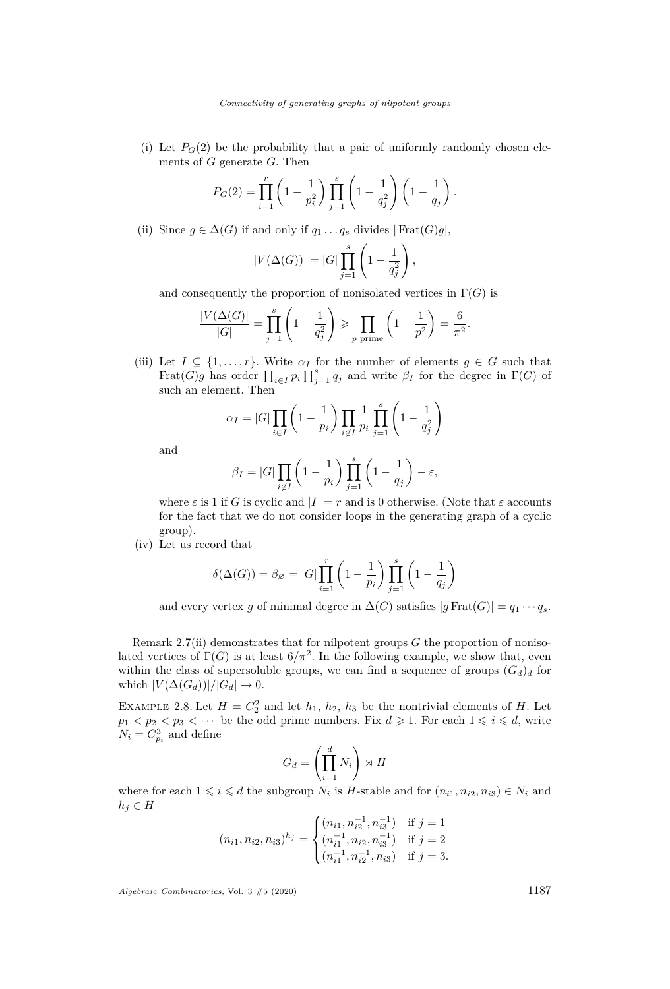(i) Let  $P_G(2)$  be the probability that a pair of uniformly randomly chosen elements of *G* generate *G*. Then

$$
P_G(2) = \prod_{i=1}^r \left(1 - \frac{1}{p_i^2}\right) \prod_{j=1}^s \left(1 - \frac{1}{q_j^2}\right) \left(1 - \frac{1}{q_j}\right).
$$

<span id="page-5-1"></span>(ii) Since  $g \in \Delta(G)$  if and only if  $q_1 \ldots q_s$  divides  $|\text{Frat}(G)g|$ ,

$$
|V(\Delta(G))| = |G| \prod_{j=1}^{s} \left(1 - \frac{1}{q_j^2}\right),
$$

and consequently the proportion of nonisolated vertices in  $\Gamma(G)$  is

$$
\frac{|V(\Delta(G)|}{|G|} = \prod_{j=1}^s \left(1 - \frac{1}{q_j^2}\right) \ge \prod_{p \text{ prime}} \left(1 - \frac{1}{p^2}\right) = \frac{6}{\pi^2}.
$$

<span id="page-5-0"></span>(iii) Let  $I \subseteq \{1, \ldots, r\}$ . Write  $\alpha_I$  for the number of elements  $g \in G$  such that Frat $(G)$ *g* has order  $\prod_{i \in I} p_i \prod_{j=1}^s q_j$  and write  $\beta_I$  for the degree in  $\Gamma(G)$  of such an element. Then

$$
\alpha_I = |G| \prod_{i \in I} \left( 1 - \frac{1}{p_i} \right) \prod_{i \notin I} \frac{1}{p_i} \prod_{j=1}^s \left( 1 - \frac{1}{q_j^2} \right)
$$

and

$$
\beta_I = |G| \prod_{i \notin I} \left( 1 - \frac{1}{p_i} \right) \prod_{j=1}^s \left( 1 - \frac{1}{q_j} \right) - \varepsilon,
$$

where  $\varepsilon$  is 1 if *G* is cyclic and  $|I| = r$  and is 0 otherwise. (Note that  $\varepsilon$  accounts for the fact that we do not consider loops in the generating graph of a cyclic group).

<span id="page-5-2"></span>(iv) Let us record that

$$
\delta(\Delta(G)) = \beta_{\emptyset} = |G| \prod_{i=1}^{r} \left(1 - \frac{1}{p_i}\right) \prod_{j=1}^{s} \left(1 - \frac{1}{q_j}\right)
$$

and every vertex *g* of minimal degree in  $\Delta(G)$  satisfies  $|g \text{Frat}(G)| = q_1 \cdots q_s$ .

Remark [2.7](#page-4-0)[\(ii\)](#page-5-1) demonstrates that for nilpotent groups *G* the proportion of nonisolated vertices of  $\Gamma(G)$  is at least  $6/\pi^2$ . In the following example, we show that, even within the class of supersoluble groups, we can find a sequence of groups  $(G_d)_d$  for which  $|V(\Delta(G_d))|/|G_d| \to 0$ .

EXAMPLE 2.8. Let  $H = C_2^2$  and let  $h_1$ ,  $h_2$ ,  $h_3$  be the nontrivial elements of *H*. Let  $p_1 < p_2 < p_3 < \cdots$  be the odd prime numbers. Fix  $d \geq 1$ . For each  $1 \leq i \leq d$ , write  $N_i = C_{p_i}^3$  and define

$$
G_d = \left(\prod_{i=1}^d N_i\right) \rtimes H
$$

where for each  $1 \leq i \leq d$  the subgroup  $N_i$  is *H*-stable and for  $(n_{i1}, n_{i2}, n_{i3}) \in N_i$  and  $h_j \in H$ 

$$
(n_{i1}, n_{i2}, n_{i3})^{h_j} = \begin{cases} (n_{i1}, n_{i2}^{-1}, n_{i3}^{-1}) & \text{if } j = 1\\ (n_{i1}^{-1}, n_{i2}, n_{i3}^{-1}) & \text{if } j = 2\\ (n_{i1}^{-1}, n_{i2}^{-1}, n_{i3}) & \text{if } j = 3. \end{cases}
$$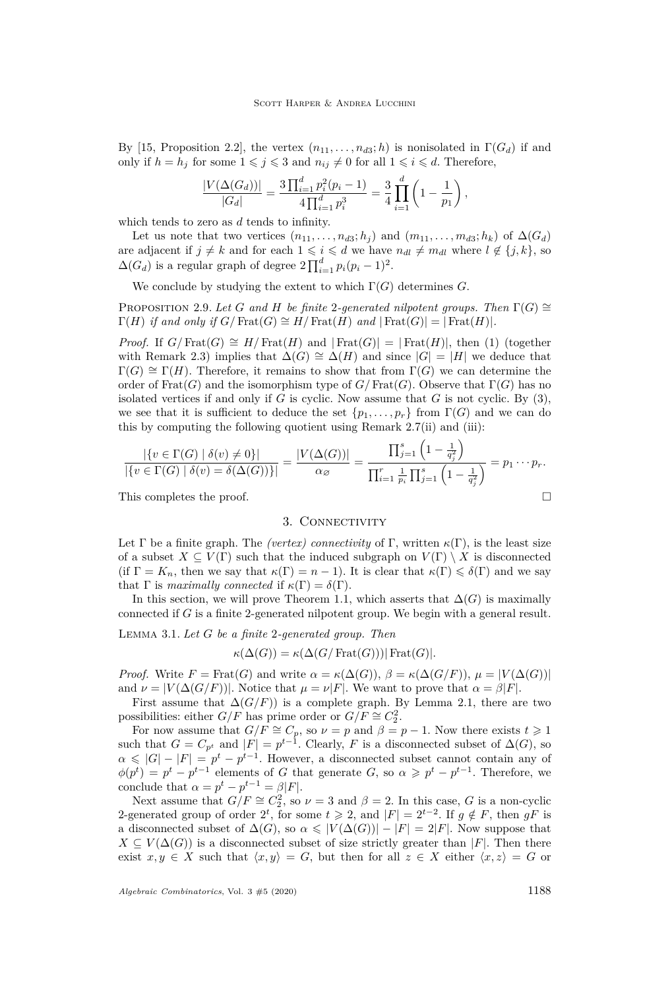By [\[15,](#page-13-10) Proposition 2.2], the vertex  $(n_{11}, \ldots, n_{d3}; h)$  is nonisolated in  $\Gamma(G_d)$  if and only if  $h = h_j$  for some  $1 \leq j \leq 3$  and  $n_{ij} \neq 0$  for all  $1 \leq i \leq d$ . Therefore,

$$
\frac{|V(\Delta(G_d))|}{|G_d|} = \frac{3\prod_{i=1}^d p_i^2(p_i-1)}{4\prod_{i=1}^d p_i^3} = \frac{3}{4}\prod_{i=1}^d \left(1 - \frac{1}{p_1}\right),
$$

which tends to zero as *d* tends to infinity.

Let us note that two vertices  $(n_{11}, \ldots, n_{d3}; h_j)$  and  $(m_{11}, \ldots, m_{d3}; h_k)$  of  $\Delta(G_d)$ are adjacent if  $j \neq k$  and for each  $1 \leq i \leq d$  we have  $n_{dl} \neq m_{dl}$  where  $l \notin \{j, k\}$ , so  $\Delta(G_d)$  is a regular graph of degree  $2\prod_{i=1}^d p_i(p_i-1)^2$ .

We conclude by studying the extent to which  $\Gamma(G)$  determines *G*.

PROPOSITION 2.9. Let *G* and *H* be finite 2-generated nilpotent groups. Then  $\Gamma(G) \cong$  $\Gamma(H)$  *if and only if*  $G/\text{Frat}(G) \cong H/\text{Frat}(H)$  *and*  $|\text{Frat}(G)| = |\text{Frat}(H)|$ *.* 

*Proof.* If  $G/\text{Frat}(G) \cong H/\text{Frat}(H)$  and  $|\text{Frat}(G)| = |\text{Frat}(H)|$ , then [\(1\)](#page-3-0) (together with Remark [2.3\)](#page-3-1) implies that  $\Delta(G) \cong \Delta(H)$  and since  $|G| = |H|$  we deduce that  $\Gamma(G) \cong \Gamma(H)$ . Therefore, it remains to show that from  $\Gamma(G)$  we can determine the order of Frat(*G*) and the isomorphism type of  $G/\text{Frat}(G)$ . Observe that  $\Gamma(G)$  has no isolated vertices if and only if  $G$  is cyclic. Now assume that  $G$  is not cyclic. By  $(3)$ , we see that it is sufficient to deduce the set  $\{p_1, \ldots, p_r\}$  from  $\Gamma(G)$  and we can do this by computing the following quotient using Remark [2.7](#page-4-0)[\(ii\)](#page-5-1) and [\(iii\):](#page-5-0)

$$
\frac{|\{v \in \Gamma(G) \mid \delta(v) \neq 0\}|}{|\{v \in \Gamma(G) \mid \delta(v) = \delta(\Delta(G))\}|} = \frac{|V(\Delta(G))|}{\alpha_{\varnothing}} = \frac{\prod_{j=1}^{s} \left(1 - \frac{1}{q_j^2}\right)}{\prod_{i=1}^{r} \frac{1}{p_i} \prod_{j=1}^{s} \left(1 - \frac{1}{q_j^2}\right)} = p_1 \cdots p_r.
$$

This completes the proof.  $\Box$ 

# 3. CONNECTIVITY

Let  $\Gamma$  be a finite graph. The *(vertex) connectivity* of  $\Gamma$ , written  $\kappa(\Gamma)$ , is the least size of a subset  $X \subseteq V(\Gamma)$  such that the induced subgraph on  $V(\Gamma) \setminus X$  is disconnected (if  $\Gamma = K_n$ , then we say that  $\kappa(\Gamma) = n - 1$ ). It is clear that  $\kappa(\Gamma) \leq \delta(\Gamma)$  and we say that  $\Gamma$  is *maximally connected* if  $\kappa(\Gamma) = \delta(\Gamma)$ .

In this section, we will prove Theorem [1.1,](#page-2-2) which asserts that  $\Delta(G)$  is maximally connected if *G* is a finite 2-generated nilpotent group. We begin with a general result.

<span id="page-6-0"></span>Lemma 3.1. *Let G be a finite* 2*-generated group. Then*

$$
\kappa(\Delta(G)) = \kappa(\Delta(G/\operatorname{Frat}(G)))|\operatorname{Frat}(G)|.
$$

*Proof.* Write  $F = \text{Frat}(G)$  and write  $\alpha = \kappa(\Delta(G)), \ \beta = \kappa(\Delta(G/F)), \ \mu = |V(\Delta(G))|$ and  $\nu = |V(\Delta(G/F))|$ . Notice that  $\mu = \nu|F|$ . We want to prove that  $\alpha = \beta|F|$ .

First assume that  $\Delta(G/F)$  is a complete graph. By Lemma [2.1,](#page-3-2) there are two possibilities: either *G/F* has prime order or  $G/F \cong C_2^2$ .

For now assume that  $G/F \cong C_p$ , so  $\nu = p$  and  $\beta = p - 1$ . Now there exists  $t \geq 1$ such that  $G = C_{p^t}$  and  $|F| = p^{t-1}$ . Clearly, *F* is a disconnected subset of  $\Delta(G)$ , so  $\alpha \leq |G| - |F| = p^t - p^{t-1}$ . However, a disconnected subset cannot contain any of  $\phi(p^t) = p^t - p^{t-1}$  elements of *G* that generate *G*, so  $\alpha \geqslant p^t - p^{t-1}$ . Therefore, we conclude that  $\alpha = p^t - p^{t-1} = \beta |F|$ .

Next assume that  $G/F \cong C_2^2$ , so  $\nu = 3$  and  $\beta = 2$ . In this case, *G* is a non-cyclic 2-generated group of order  $2^t$ , for some  $t \ge 2$ , and  $|F| = 2^{t-2}$ . If  $g \notin F$ , then  $gF$  is a disconnected subset of  $\Delta(G)$ , so  $\alpha \leq |V(\Delta(G))| - |F| = 2|F|$ . Now suppose that  $X \subseteq V(\Delta(G))$  is a disconnected subset of size strictly greater than  $|F|$ . Then there exist  $x, y \in X$  such that  $\langle x, y \rangle = G$ , but then for all  $z \in X$  either  $\langle x, z \rangle = G$  or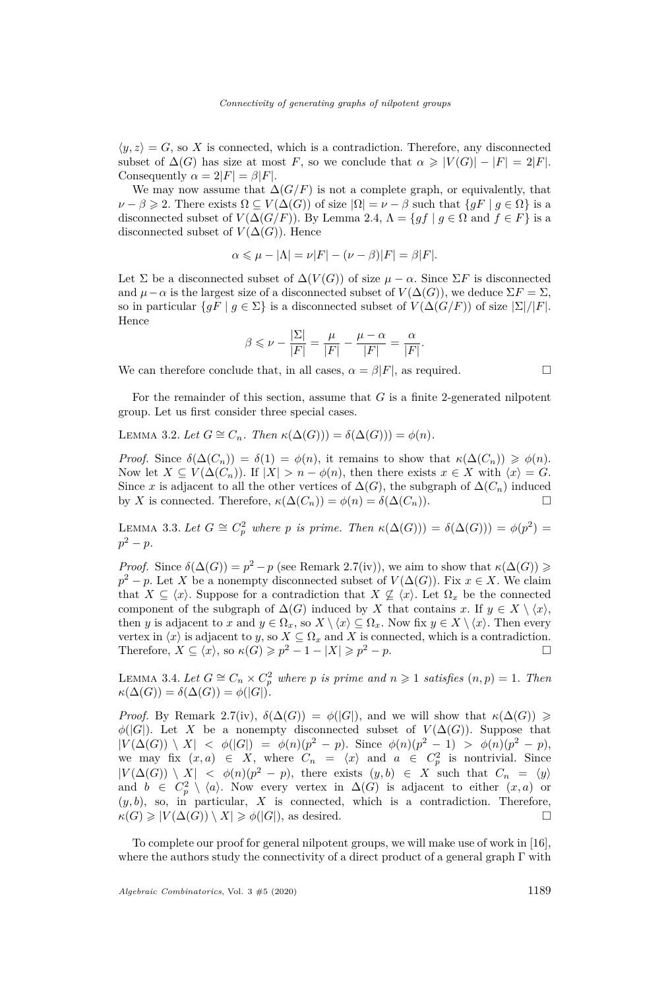$\langle y, z \rangle = G$ , so X is connected, which is a contradiction. Therefore, any disconnected subset of  $\Delta(G)$  has size at most *F*, so we conclude that  $\alpha \geq |V(G)| - |F| = 2|F|$ . Consequently  $\alpha = 2|F| = \beta|F|$ .

We may now assume that  $\Delta(G/F)$  is not a complete graph, or equivalently, that  $\nu - \beta \geqslant 2$ . There exists  $\Omega \subseteq V(\Delta(G))$  of size  $|\Omega| = \nu - \beta$  such that  $\{gF \mid g \in \Omega\}$  is a disconnected subset of  $V(\Delta(G/F))$ . By Lemma [2.4,](#page-3-3)  $\Lambda = \{gf \mid g \in \Omega \text{ and } f \in F\}$  is a disconnected subset of  $V(\Delta(G))$ . Hence

$$
\alpha \leq \mu - |\Lambda| = \nu |F| - (\nu - \beta)|F| = \beta |F|.
$$

Let  $\Sigma$  be a disconnected subset of  $\Delta(V(G))$  of size  $\mu - \alpha$ . Since  $\Sigma F$  is disconnected and  $\mu - \alpha$  is the largest size of a disconnected subset of  $V(\Delta(G))$ , we deduce  $\Sigma F = \Sigma$ , so in particular  $\{qF \mid q \in \Sigma\}$  is a disconnected subset of  $V(\Delta(G/F))$  of size  $|\Sigma|/|F|$ . Hence

$$
\beta \leqslant \nu - \frac{|\Sigma|}{|F|} = \frac{\mu}{|F|} - \frac{\mu - \alpha}{|F|} = \frac{\alpha}{|F|}.
$$

We can therefore conclude that, in all cases,  $\alpha = \beta |F|$ , as required.

For the remainder of this section, assume that *G* is a finite 2-generated nilpotent group. Let us first consider three special cases.

<span id="page-7-0"></span>LEMMA 3.2. Let  $G \cong C_n$ . Then  $\kappa(\Delta(G))) = \delta(\Delta(G))) = \phi(n)$ .

*Proof.* Since  $\delta(\Delta(C_n)) = \delta(1) = \phi(n)$ , it remains to show that  $\kappa(\Delta(C_n)) \geq \phi(n)$ . Now let  $X \subseteq V(\Delta(C_n))$ . If  $|X| > n - \phi(n)$ , then there exists  $x \in X$  with  $\langle x \rangle = G$ . Since *x* is adjacent to all the other vertices of  $\Delta(G)$ , the subgraph of  $\Delta(C_n)$  induced by *X* is connected. Therefore,  $\kappa(\Delta(C_n)) = \phi(n) = \delta(\Delta(C_n)).$ 

<span id="page-7-1"></span>LEMMA 3.3. Let  $G \cong C_p^2$  where p is prime. Then  $\kappa(\Delta(G))) = \delta(\Delta(G))) = \phi(p^2)$  $p^2 - p$ .

*Proof.* Since  $\delta(\Delta(G)) = p^2 - p$  (see Remark [2.7](#page-4-0)[\(iv\)\)](#page-5-2), we aim to show that  $\kappa(\Delta(G)) \geq$  $p^2 - p$ . Let *X* be a nonempty disconnected subset of  $V(\Delta(G))$ . Fix  $x \in X$ . We claim that  $X \subseteq \langle x \rangle$ . Suppose for a contradiction that  $X \nsubseteq \langle x \rangle$ . Let  $\Omega_x$  be the connected component of the subgraph of  $\Delta(G)$  induced by *X* that contains *x*. If  $y \in X \setminus \langle x \rangle$ , then *y* is adjacent to *x* and  $y \in \Omega_x$ , so  $X \setminus \langle x \rangle \subseteq \Omega_x$ . Now fix  $y \in X \setminus \langle x \rangle$ . Then every vertex in  $\langle x \rangle$  is adjacent to *y*, so  $X \subseteq \Omega_x$  and *X* is connected, which is a contradiction. Therefore,  $X \subseteq \langle x \rangle$ , so  $\kappa(G) \geq p^2 - 1 - |X| \geq p^2 - p$ .

<span id="page-7-2"></span>LEMMA 3.4. Let  $G \cong C_n \times C_p^2$  where p is prime and  $n \ge 1$  satisfies  $(n, p) = 1$ . Then  $\kappa(\Delta(G)) = \delta(\Delta(G)) = \phi(|G|).$ 

*Proof.* By Remark [2.7](#page-4-0)[\(iv\),](#page-5-2)  $\delta(\Delta(G)) = \phi(|G|)$ , and we will show that  $\kappa(\Delta(G)) \geq$  $\phi(|G|)$ . Let *X* be a nonempty disconnected subset of  $V(\Delta(G))$ . Suppose that  $|V(\Delta(G)) \setminus X| < \phi(|G|) = \phi(n)(p^2 - p)$ . Since  $\phi(n)(p^2 - 1) > \phi(n)(p^2 - p)$ , we may fix  $(x, a) \in X$ , where  $C_n = \langle x \rangle$  and  $a \in C_p^2$  is nontrivial. Since  $|V(\Delta(G)) \setminus X|$  <  $\phi(n)(p^2 - p)$ , there exists  $(y, b) \in X$  such that  $C_n = \langle y \rangle$ and  $b \in C_p^2 \setminus \langle a \rangle$ . Now every vertex in  $\Delta(G)$  is adjacent to either  $(x, a)$  or  $(y, b)$ , so, in particular,  $X$  is connected, which is a contradiction. Therefore,  $\kappa(G) \geqslant |V(\Delta(G)) \setminus X| \geqslant \phi(|G|)$ , as desired.

To complete our proof for general nilpotent groups, we will make use of work in [\[16\]](#page-13-11), where the authors study the connectivity of a direct product of a general graph  $\Gamma$  with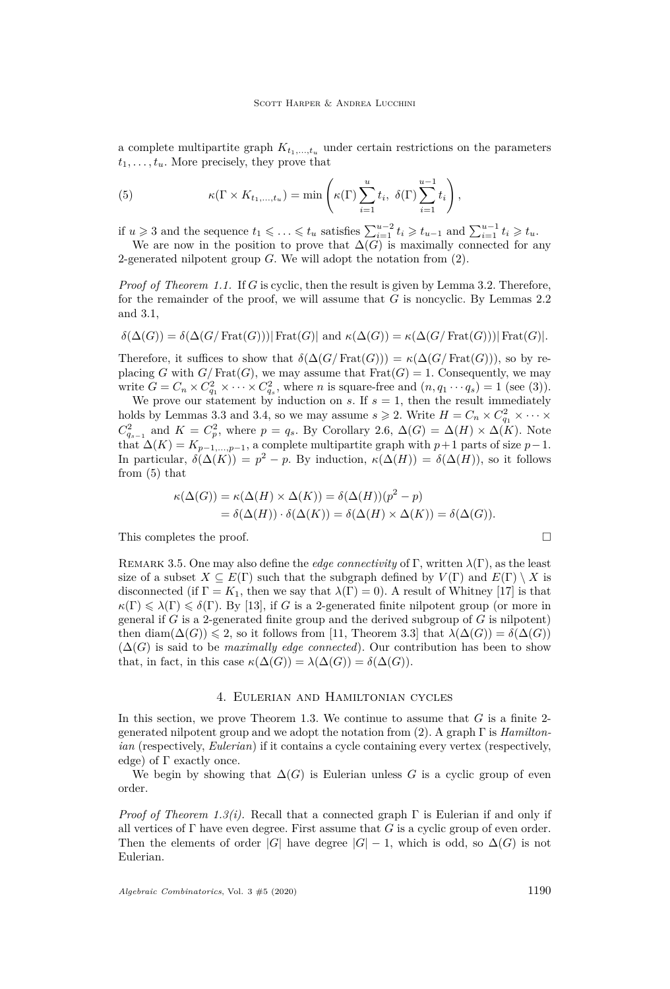a complete multipartite graph  $K_{t_1,\ldots,t_n}$  under certain restrictions on the parameters  $t_1, \ldots, t_u$ . More precisely, they prove that

<span id="page-8-0"></span>(5) 
$$
\kappa(\Gamma \times K_{t_1,\dots,t_u}) = \min\left(\kappa(\Gamma) \sum_{i=1}^u t_i, \ \delta(\Gamma) \sum_{i=1}^{u-1} t_i\right),
$$

if *u* ≥ 3 and the sequence  $t_1$  ≤  $\ldots$  ≤  $t_u$  satisfies  $\sum_{i=1}^{u-2} t_i$  ≥  $t_{u-1}$  and  $\sum_{i=1}^{u-1} t_i$  ≥  $t_u$ . We are now in the position to prove that  $\Delta(G)$  is maximally connected for any 2-generated nilpotent group *G*. We will adopt the notation from [\(2\)](#page-4-4).

*Proof of Theorem [1.1.](#page-2-2)* If *G* is cyclic, then the result is given by Lemma [3.2.](#page-7-0) Therefore, for the remainder of the proof, we will assume that *G* is noncyclic. By Lemmas [2.2](#page-3-4) and [3.1,](#page-6-0)

$$
\delta(\Delta(G)) = \delta(\Delta(G/\operatorname{Frat}(G)))|\operatorname{Frat}(G)| \text{ and } \kappa(\Delta(G)) = \kappa(\Delta(G/\operatorname{Frat}(G)))|\operatorname{Frat}(G)|.
$$

Therefore, it suffices to show that  $\delta(\Delta(G/\text{Frat}(G))) = \kappa(\Delta(G/\text{Frat}(G))),$  so by replacing *G* with  $G/\text{Frat}(G)$ , we may assume that  $\text{Frat}(G) = 1$ . Consequently, we may write  $G = C_n \times C_{q_1}^2 \times \cdots \times C_{q_s}^2$ , where *n* is square-free and  $(n, q_1 \cdots q_s) = 1$  (see [\(3\)](#page-4-3)).

We prove our statement by induction on  $s$ . If  $s = 1$ , then the result immediately holds by Lemmas [3.3](#page-7-1) and [3.4,](#page-7-2) so we may assume  $s \ge 2$ . Write  $H = C_n \times C_{q_1}^2 \times \cdots \times C_{q_n}^2$  $C_{q_{s-1}}^2$  and  $K = C_p^2$ , where  $p = q_s$ . By Corollary [2.6,](#page-4-5)  $\Delta(G) = \Delta(H) \times \Delta(K)$ . Note that  $\Delta(K) = K_{p-1,\dots,p-1}$ , a complete multipartite graph with  $p+1$  parts of size  $p-1$ . In particular,  $\delta(\Delta(K)) = p^2 - p$ . By induction,  $\kappa(\Delta(H)) = \delta(\Delta(H))$ , so it follows from [\(5\)](#page-8-0) that

$$
\kappa(\Delta(G)) = \kappa(\Delta(H) \times \Delta(K)) = \delta(\Delta(H))(p^2 - p)
$$
  
= 
$$
\delta(\Delta(H)) \cdot \delta(\Delta(K)) = \delta(\Delta(H) \times \Delta(K)) = \delta(\Delta(G)).
$$

This completes the proof.

Remark 3.5. One may also define the *edge connectivity* of Γ, written *λ*(Γ), as the least size of a subset  $X \subseteq E(\Gamma)$  such that the subgraph defined by  $V(\Gamma)$  and  $E(\Gamma) \setminus X$  is disconnected (if  $\Gamma = K_1$ , then we say that  $\lambda(\Gamma) = 0$ ). A result of Whitney [\[17\]](#page-13-12) is that  $\kappa(\Gamma) \leq \lambda(\Gamma) \leq \delta(\Gamma)$ . By [\[13\]](#page-13-13), if *G* is a 2-generated finite nilpotent group (or more in general if *G* is a 2-generated finite group and the derived subgroup of *G* is nilpotent) then diam( $\Delta(G)$ )  $\leq$  2, so it follows from [\[11,](#page-13-14) Theorem 3.3] that  $\lambda(\Delta(G)) = \delta(\Delta(G))$  $(\Delta(G)$  is said to be *maximally edge connected*). Our contribution has been to show that, in fact, in this case  $\kappa(\Delta(G)) = \lambda(\Delta(G)) = \delta(\Delta(G)).$ 

#### 4. Eulerian and Hamiltonian cycles

In this section, we prove Theorem [1.3.](#page-2-0) We continue to assume that *G* is a finite 2 generated nilpotent group and we adopt the notation from [\(2\)](#page-4-4). A graph Γ is *Hamiltonian* (respectively, *Eulerian*) if it contains a cycle containing every vertex (respectively, edge) of  $\Gamma$  exactly once.

We begin by showing that  $\Delta(G)$  is Eulerian unless G is a cyclic group of even order.

*Proof of Theorem [1.3](#page-2-0)[\(i\).](#page-2-3)* Recall that a connected graph Γ is Eulerian if and only if all vertices of  $\Gamma$  have even degree. First assume that *G* is a cyclic group of even order. Then the elements of order  $|G|$  have degree  $|G| - 1$ , which is odd, so  $\Delta(G)$  is not Eulerian.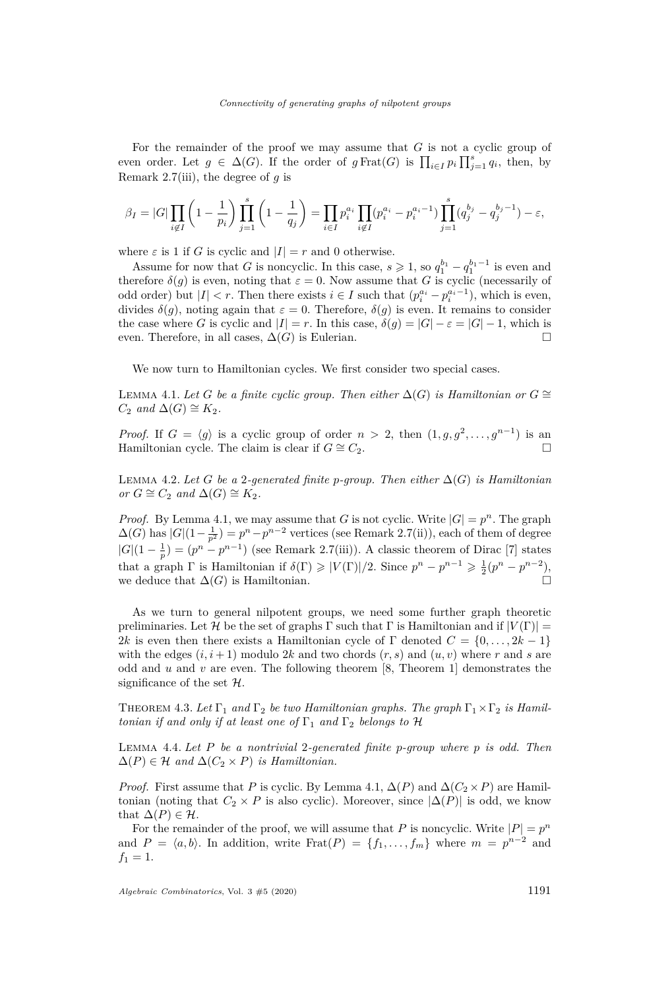For the remainder of the proof we may assume that *G* is not a cyclic group of even order. Let  $g \in \Delta(G)$ . If the order of  $g \text{Frat}(G)$  is  $\prod_{i \in I} p_i \prod_{j=1}^s q_i$ , then, by Remark [2.7](#page-4-0)[\(iii\),](#page-5-0) the degree of *g* is

$$
\beta_I = |G| \prod_{i \notin I} \left( 1 - \frac{1}{p_i} \right) \prod_{j=1}^s \left( 1 - \frac{1}{q_j} \right) = \prod_{i \in I} p_i^{a_i} \prod_{i \notin I} (p_i^{a_i} - p_i^{a_i - 1}) \prod_{j=1}^s (q_j^{b_j} - q_j^{b_j - 1}) - \varepsilon,
$$

where  $\varepsilon$  is 1 if *G* is cyclic and  $|I| = r$  and 0 otherwise.

Assume for now that *G* is noncyclic. In this case,  $s \geq 1$ , so  $q_1^{b_1} - q_1^{b_1-1}$  is even and therefore  $\delta(g)$  is even, noting that  $\varepsilon = 0$ . Now assume that *G* is cyclic (necessarily of odd order) but  $|I| < r$ . Then there exists  $i \in I$  such that  $(p_i^{a_i} - p_i^{a_i-1})$ , which is even, divides  $\delta(g)$ , noting again that  $\varepsilon = 0$ . Therefore,  $\delta(g)$  is even. It remains to consider the case where *G* is cyclic and  $|I| = r$ . In this case,  $\delta(g) = |G| - \varepsilon = |G| - 1$ , which is even. Therefore, in all cases,  $\Delta(G)$  is Eulerian.

We now turn to Hamiltonian cycles. We first consider two special cases.

<span id="page-9-0"></span>LEMMA 4.1. Let *G* be a finite cyclic group. Then either  $\Delta(G)$  is Hamiltonian or  $G \cong$  $C_2$  *and*  $\Delta(G) \cong K_2$ *.* 

*Proof.* If  $G = \langle g \rangle$  is a cyclic group of order  $n > 2$ , then  $(1, g, g^2, \ldots, g^{n-1})$  is an Hamiltonian cycle. The claim is clear if  $G \cong C_2$ .

<span id="page-9-1"></span>LEMMA 4.2. Let *G* be a 2-generated finite *p*-group. Then either  $\Delta(G)$  is Hamiltonian  $or G \cong C_2$  *and*  $\Delta(G) \cong K_2$ *.* 

*Proof.* By Lemma [4.1,](#page-9-0) we may assume that *G* is not cyclic. Write  $|G| = p^n$ . The graph  $\Delta(G)$  has  $|G|(1-\frac{1}{p^2}) = p^n - p^{n-2}$  vertices (see Remark [2.7](#page-4-0)[\(ii\)\)](#page-5-1), each of them of degree  $|G|(1-\frac{1}{n})=(p^n-p^{n-1})$  (see Remark [2.7](#page-4-0)[\(iii\)\)](#page-5-0). A classic theorem of Dirac [\[7\]](#page-13-15) states that a graph  $\Gamma$  is Hamiltonian if  $\delta(\Gamma) \ge |V(\Gamma)|/2$ . Since  $p^n - p^{n-1} \ge \frac{1}{2}(p^n - p^{n-2})$ , we deduce that  $\Delta(G)$  is Hamiltonian.

As we turn to general nilpotent groups, we need some further graph theoretic preliminaries. Let H be the set of graphs  $\Gamma$  such that  $\Gamma$  is Hamiltonian and if  $|V(\Gamma)| =$ 2*k* is even then there exists a Hamiltonian cycle of Γ denoted  $C = \{0, \ldots, 2k - 1\}$ with the edges  $(i, i+1)$  modulo 2*k* and two chords  $(r, s)$  and  $(u, v)$  where *r* and *s* are odd and  $u$  and  $v$  are even. The following theorem  $[8,$  Theorem 1 demonstrates the significance of the set  $\mathcal{H}$ .

<span id="page-9-3"></span>THEOREM 4.3. Let  $\Gamma_1$  and  $\Gamma_2$  be two Hamiltonian graphs. The graph  $\Gamma_1 \times \Gamma_2$  is Hamil*tonian if and only if at least one of*  $\Gamma_1$  *and*  $\Gamma_2$  *belongs to*  $\mathcal{H}$ 

<span id="page-9-2"></span>Lemma 4.4. *Let P be a nontrivial* 2*-generated finite p-group where p is odd. Then*  $\Delta(P) \in \mathcal{H}$  and  $\Delta(C_2 \times P)$  *is Hamiltonian.* 

*Proof.* First assume that *P* is cyclic. By Lemma [4.1,](#page-9-0)  $\Delta(P)$  and  $\Delta(C_2 \times P)$  are Hamiltonian (noting that  $C_2 \times P$  is also cyclic). Moreover, since  $|\Delta(P)|$  is odd, we know that  $\Delta(P) \in \mathcal{H}$ .

For the remainder of the proof, we will assume that *P* is noncyclic. Write  $|P| = p^n$ and  $P = \langle a, b \rangle$ . In addition, write Frat $(P) = \{f_1, \ldots, f_m\}$  where  $m = p^{n-2}$  and  $f_1 = 1.$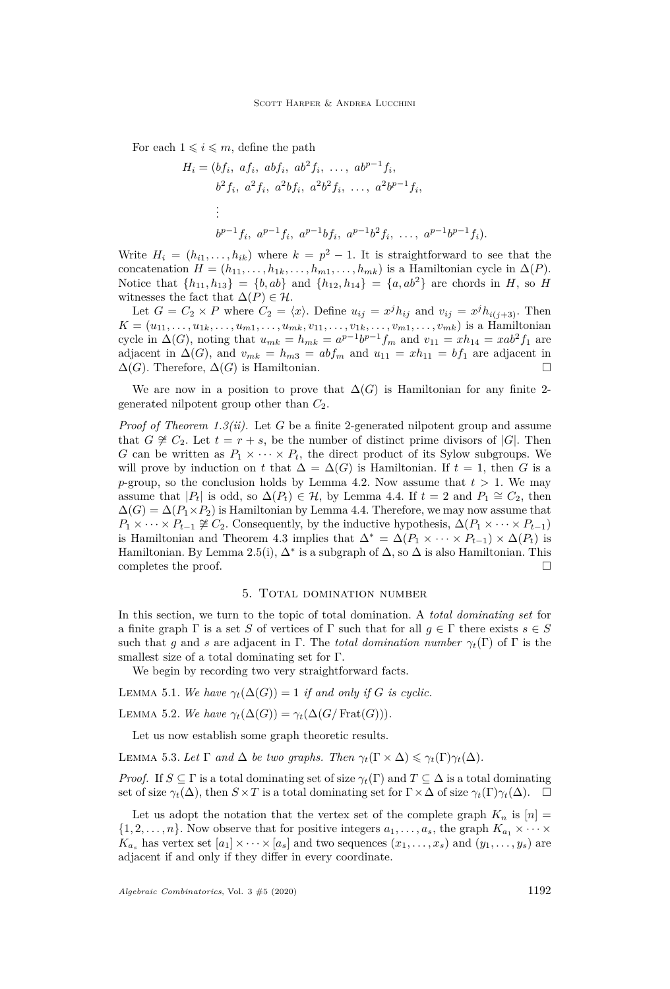For each  $1 \leq i \leq m$ , define the path

$$
H_i = (bf_i, af_i, abf_i, ab^2f_i, ..., ab^{p-1}f_i,
$$
  
\n
$$
b^2f_i, a^2f_i, a^2bf_i, a^2b^2f_i, ..., a^2b^{p-1}f_i,
$$
  
\n
$$
\vdots
$$
  
\n
$$
b^{p-1}f_i, a^{p-1}f_i, a^{p-1}bf_i, a^{p-1}b^2f_i, ..., a^{p-1}b^{p-1}f_i).
$$

Write  $H_i = (h_{i1}, \ldots, h_{ik})$  where  $k = p^2 - 1$ . It is straightforward to see that the concatenation  $H = (h_{11}, \ldots, h_{1k}, \ldots, h_{m1}, \ldots, h_{mk})$  is a Hamiltonian cycle in  $\Delta(P)$ . Notice that  $\{h_{11}, h_{13}\} = \{b, ab\}$  and  $\{h_{12}, h_{14}\} = \{a, ab^2\}$  are chords in *H*, so *H* witnesses the fact that  $\Delta(P) \in \mathcal{H}$ .

Let  $G = C_2 \times P$  where  $C_2 = \langle x \rangle$ . Define  $u_{ij} = x^j h_{ij}$  and  $v_{ij} = x^j h_{i(j+3)}$ . Then  $K = (u_{11}, \ldots, u_{1k}, \ldots, u_{m1}, \ldots, u_{mk}, v_{11}, \ldots, v_{1k}, \ldots, v_{m1}, \ldots, v_{mk})$  is a Hamiltonian cycle in  $\Delta(G)$ , noting that  $u_{mk} = h_{mk} = a^{p-1}b^{p-1}f_m$  and  $v_{11} = xh_{14} = xab^2f_1$  are adjacent in  $\Delta(G)$ , and  $v_{mk} = h_{m3} = abf_m$  and  $u_{11} = xh_{11} = bf_1$  are adjacent in  $\Delta(G)$ . Therefore,  $\Delta(G)$  is Hamiltonian.

We are now in a position to prove that  $\Delta(G)$  is Hamiltonian for any finite 2generated nilpotent group other than *C*2.

*Proof of Theorem [1.3](#page-2-0)[\(ii\).](#page-2-4)* Let *G* be a finite 2-generated nilpotent group and assume that *G*  $\cong$  *C*<sub>2</sub>. Let  $t = r + s$ , be the number of distinct prime divisors of  $|G|$ . Then *G* can be written as  $P_1 \times \cdots \times P_t$ , the direct product of its Sylow subgroups. We will prove by induction on *t* that  $\Delta = \Delta(G)$  is Hamiltonian. If  $t = 1$ , then G is a *p*-group, so the conclusion holds by Lemma [4.2.](#page-9-1) Now assume that  $t > 1$ . We may assume that  $|P_t|$  is odd, so  $\Delta(P_t) \in \mathcal{H}$ , by Lemma [4.4.](#page-9-2) If  $t = 2$  and  $P_1 \cong C_2$ , then  $\Delta(G) = \Delta(P_1 \times P_2)$  is Hamiltonian by Lemma [4.4.](#page-9-2) Therefore, we may now assume that  $P_1 \times \cdots \times P_{t-1} \not\cong C_2$ . Consequently, by the inductive hypothesis,  $\Delta(P_1 \times \cdots \times P_{t-1})$ is Hamiltonian and Theorem [4.3](#page-9-3) implies that  $\Delta^* = \Delta(P_1 \times \cdots \times P_{t-1}) \times \Delta(P_t)$  is Hamiltonian. By Lemma [2.5](#page-4-1)[\(i\),](#page-4-6)  $\Delta^*$  is a subgraph of  $\Delta$ , so  $\Delta$  is also Hamiltonian. This completes the proof.

### 5. Total domination number

<span id="page-10-0"></span>In this section, we turn to the topic of total domination. A *total dominating set* for a finite graph  $\Gamma$  is a set *S* of vertices of  $\Gamma$  such that for all  $q \in \Gamma$  there exists  $s \in S$ such that *q* and *s* are adjacent in Γ. The *total domination number*  $\gamma_t(\Gamma)$  of Γ is the smallest size of a total dominating set for Γ.

We begin by recording two very straightforward facts.

<span id="page-10-2"></span>LEMMA 5.1. *We have*  $\gamma_t(\Delta(G)) = 1$  *if and only if G is cyclic.* 

LEMMA 5.2. *We have*  $\gamma_t(\Delta(G)) = \gamma_t(\Delta(G/\text{Frat}(G))).$ 

Let us now establish some graph theoretic results.

<span id="page-10-1"></span>**LEMMA 5.3.** Let  $\Gamma$  and  $\Delta$  be two graphs. Then  $\gamma_t(\Gamma \times \Delta) \leq \gamma_t(\Gamma) \gamma_t(\Delta)$ .

*Proof.* If  $S \subseteq \Gamma$  is a total dominating set of size  $\gamma_t(\Gamma)$  and  $T \subseteq \Delta$  is a total dominating set of size  $\gamma_t(\Delta)$ , then  $S \times T$  is a total dominating set for  $\Gamma \times \Delta$  of size  $\gamma_t(\Gamma) \gamma_t(\Delta)$ .

Let us adopt the notation that the vertex set of the complete graph  $K_n$  is  $[n]$  =  $\{1, 2, \ldots, n\}$ . Now observe that for positive integers  $a_1, \ldots, a_s$ , the graph  $K_{a_1} \times \cdots \times$  $K_{a_s}$  has vertex set  $[a_1] \times \cdots \times [a_s]$  and two sequences  $(x_1, \ldots, x_s)$  and  $(y_1, \ldots, y_s)$  are adjacent if and only if they differ in every coordinate.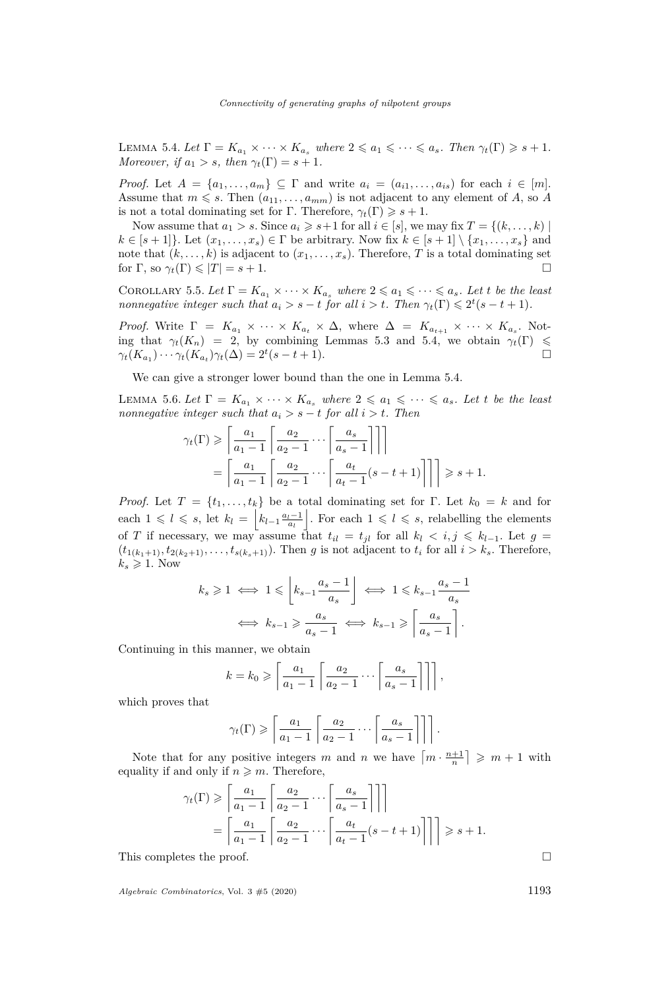<span id="page-11-0"></span>LEMMA 5.4. Let  $\Gamma = K_{a_1} \times \cdots \times K_{a_s}$  where  $2 \leq a_1 \leq \cdots \leq a_s$ . Then  $\gamma_t(\Gamma) \geq s + 1$ . *Moreover, if*  $a_1 > s$ *, then*  $\gamma_t(\Gamma) = s + 1$ *.* 

*Proof.* Let  $A = \{a_1, \ldots, a_m\} \subseteq \Gamma$  and write  $a_i = (a_{i1}, \ldots, a_{is})$  for each  $i \in [m]$ . Assume that  $m \leq s$ . Then  $(a_{11}, \ldots, a_{mm})$  is not adjacent to any element of *A*, so *A* is not a total dominating set for  $\Gamma$ . Therefore,  $\gamma_t(\Gamma) \geq s + 1$ .

Now assume that  $a_1 > s$ . Since  $a_i \geq s+1$  for all  $i \in [s]$ , we may fix  $T = \{(k, \ldots, k) \mid$  $k \in [s+1]$ . Let  $(x_1, \ldots, x_s) \in \Gamma$  be arbitrary. Now fix  $k \in [s+1] \setminus \{x_1, \ldots, x_s\}$  and note that  $(k, \ldots, k)$  is adjacent to  $(x_1, \ldots, x_s)$ . Therefore, *T* is a total dominating set for  $\Gamma$ , so  $\gamma_t(\Gamma) \leqslant |T| = s + 1$ .

<span id="page-11-1"></span>COROLLARY 5.5. Let  $\Gamma = K_{a_1} \times \cdots \times K_{a_s}$  where  $2 \leq a_1 \leq \cdots \leq a_s$ . Let *t* be the least *nonnegative integer such that*  $a_i > s - t$  *for all*  $i > t$ *. Then*  $\gamma_t(\Gamma) \leq 2^t(s - t + 1)$ *.* 

*Proof.* Write  $\Gamma = K_{a_1} \times \cdots \times K_{a_t} \times \Delta$ , where  $\Delta = K_{a_{t+1}} \times \cdots \times K_{a_s}$ . Noting that  $\gamma_t(K_n) = 2$ , by combining Lemmas [5.3](#page-10-1) and [5.4,](#page-11-0) we obtain  $\gamma_t(\Gamma) \leq$  $\gamma_t(K_{a_1}) \cdots \gamma_t(K_{a_t}) \gamma_t(\Delta) = 2^t(s - t + 1).$ 

We can give a stronger lower bound than the one in Lemma [5.4.](#page-11-0)

LEMMA 5.6. Let  $\Gamma = K_{a_1} \times \cdots \times K_{a_s}$  where  $2 \leq a_1 \leq \cdots \leq a_s$ . Let t be the least *nonnegative integer such that*  $a_i > s - t$  *for all*  $i > t$ *. Then* 

$$
\gamma_t(\Gamma) \geqslant \left\lceil \frac{a_1}{a_1 - 1} \left\lceil \frac{a_2}{a_2 - 1} \cdots \left\lceil \frac{a_s}{a_s - 1} \right\rceil \right\rceil \right\rceil
$$

$$
= \left\lceil \frac{a_1}{a_1 - 1} \left\lceil \frac{a_2}{a_2 - 1} \cdots \left\lceil \frac{a_t}{a_t - 1} (s - t + 1) \right\rceil \right\rceil \right\rceil \geqslant s + 1.
$$

*Proof.* Let  $T = \{t_1, \ldots, t_k\}$  be a total dominating set for Γ. Let  $k_0 = k$  and for each  $1 \leq l \leq s$ , let  $k_l = \left| k_{l-1} \frac{a_l-1}{a_l} \right|$ . For each  $1 \leq l \leq s$ , relabelling the elements of *T* if necessary, we may assume that  $t_{il} = t_{jl}$  for all  $k_l < i, j \leq k_{l-1}$ . Let  $g =$  $(t_{1(k_1+1)}, t_{2(k_2+1)}, \ldots, t_{s(k_s+1)})$ . Then *g* is not adjacent to  $t_i$  for all  $i > k_s$ . Therefore,  $k_s \geqslant 1$ . Now

$$
k_s \geq 1 \iff 1 \leq \left\lfloor k_{s-1} \frac{a_s - 1}{a_s} \right\rfloor \iff 1 \leq k_{s-1} \frac{a_s - 1}{a_s}
$$

$$
\iff k_{s-1} \geq \frac{a_s}{a_s - 1} \iff k_{s-1} \geq \left\lceil \frac{a_s}{a_s - 1} \right\rceil.
$$

Continuing in this manner, we obtain

$$
k = k_0 \geqslant \left\lceil \frac{a_1}{a_1 - 1} \left\lceil \frac{a_2}{a_2 - 1} \cdots \left\lceil \frac{a_s}{a_s - 1} \right\rceil \right\rceil \right\rceil,
$$

which proves that

$$
\gamma_t(\Gamma) \geqslant \left\lceil \frac{a_1}{a_1 - 1} \left\lceil \frac{a_2}{a_2 - 1} \cdots \left\lceil \frac{a_s}{a_s - 1} \right\rceil \right\rceil \right\rceil.
$$

Note that for any positive integers *m* and *n* we have  $\left\lceil m \cdot \frac{n+1}{n} \right\rceil \geq m+1$  with equality if and only if  $n \geqslant m$ . Therefore,

$$
\gamma_t(\Gamma) \geqslant \left\lceil \frac{a_1}{a_1 - 1} \left\lceil \frac{a_2}{a_2 - 1} \cdots \left\lceil \frac{a_s}{a_s - 1} \right\rceil \right\rceil \right\rceil
$$

$$
= \left\lceil \frac{a_1}{a_1 - 1} \left\lceil \frac{a_2}{a_2 - 1} \cdots \left\lceil \frac{a_t}{a_t - 1} (s - t + 1) \right\rceil \right\rceil \right\rceil \geqslant s + 1.
$$

This completes the proof.  $\Box$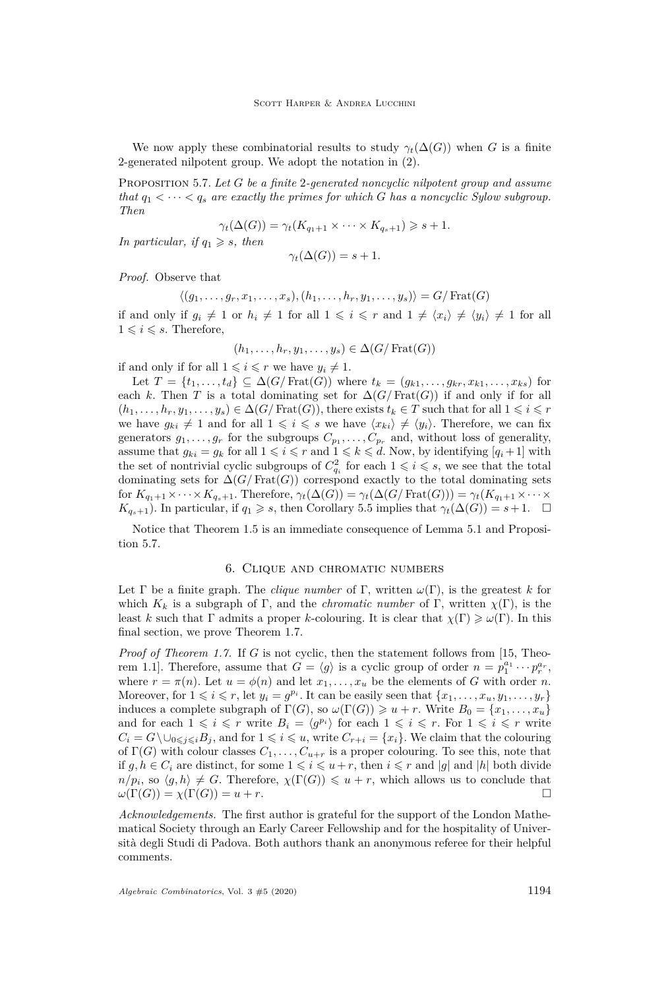We now apply these combinatorial results to study  $\gamma_t(\Delta(G))$  when *G* is a finite 2-generated nilpotent group. We adopt the notation in [\(2\)](#page-4-4).

<span id="page-12-0"></span>Proposition 5.7. *Let G be a finite* 2*-generated noncyclic nilpotent group and assume that*  $q_1 < \cdots < q_s$  are exactly the primes for which *G* has a noncyclic Sylow subgroup. *Then*

$$
\gamma_t(\Delta(G)) = \gamma_t(K_{q_1+1} \times \cdots \times K_{q_s+1}) \geq s+1.
$$

*In particular, if*  $q_1 \geq s$ *, then* 

$$
\gamma_t(\Delta(G)) = s + 1.
$$

*Proof.* Observe that

 $\langle (g_1, \ldots, g_r, x_1, \ldots, x_s), (h_1, \ldots, h_r, y_1, \ldots, y_s) \rangle = G / \text{Frat}(G)$ if and only if  $g_i \neq 1$  or  $h_i \neq 1$  for all  $1 \leq i \leq r$  and  $1 \neq \langle x_i \rangle \neq \langle y_i \rangle \neq 1$  for all  $1 \leq i \leq s$ . Therefore,

$$
(h_1, \ldots, h_r, y_1, \ldots, y_s) \in \Delta(G/\mathrm{Frat}(G))
$$

if and only if for all  $1 \leq i \leq r$  we have  $y_i \neq 1$ .

Let  $T = \{t_1, \ldots, t_d\} \subseteq \Delta(G/\text{Frat}(G))$  where  $t_k = (g_{k1}, \ldots, g_{kr}, x_{k1}, \ldots, x_{ks})$  for each *k*. Then *T* is a total dominating set for  $\Delta(G/\text{Frat}(G))$  if and only if for all  $(h_1, \ldots, h_r, y_1, \ldots, y_s) \in \Delta(G/\text{Frat}(G))$ , there exists  $t_k \in T$  such that for all  $1 \leq i \leq r$ we have  $g_{ki} \neq 1$  and for all  $1 \leq i \leq s$  we have  $\langle x_{ki} \rangle \neq \langle y_i \rangle$ . Therefore, we can fix generators  $g_1, \ldots, g_r$  for the subgroups  $C_{p_1}, \ldots, C_{p_r}$  and, without loss of generality, assume that  $g_{ki} = g_k$  for all  $1 \leq i \leq r$  and  $1 \leq k \leq d$ . Now, by identifying  $[q_i + 1]$  with the set of nontrivial cyclic subgroups of  $C_{q_i}^2$  for each  $1 \leqslant i \leqslant s$ , we see that the total dominating sets for  $\Delta(G/\text{Frat}(G))$  correspond exactly to the total dominating sets for  $K_{q_1+1} \times \cdots \times K_{q_s+1}$ . Therefore,  $\gamma_t(\Delta(G)) = \gamma_t(\Delta(G/\text{Frat}(G))) = \gamma_t(K_{q_1+1} \times \cdots \times K_{q_s+1})$  $K_{q_s+1}$ ). In particular, if  $q_1 \geq s$ , then Corollary [5.5](#page-11-1) implies that  $\gamma_t(\Delta(G)) = s+1$ .  $\Box$ 

Notice that Theorem [1.5](#page-2-5) is an immediate consequence of Lemma [5.1](#page-10-2) and Proposition [5.7.](#page-12-0)

### 6. Clique and chromatic numbers

Let  $\Gamma$  be a finite graph. The *clique number* of  $\Gamma$ , written  $\omega(\Gamma)$ , is the greatest *k* for which  $K_k$  is a subgraph of  $\Gamma$ , and the *chromatic number* of  $\Gamma$ , written  $\chi(\Gamma)$ , is the least *k* such that  $\Gamma$  admits a proper *k*-colouring. It is clear that  $\chi(\Gamma) \geq \omega(\Gamma)$ . In this final section, we prove Theorem [1.7.](#page-2-1)

*Proof of Theorem [1.7.](#page-2-1)* If *G* is not cyclic, then the statement follows from [\[15,](#page-13-10) Theorem 1.1]. Therefore, assume that  $G = \langle g \rangle$  is a cyclic group of order  $n = p_1^{a_1} \cdots p_r^{a_r}$ , where  $r = \pi(n)$ . Let  $u = \phi(n)$  and let  $x_1, \ldots, x_u$  be the elements of *G* with order *n*. Moreover, for  $1 \leq i \leq r$ , let  $y_i = g^{p_i}$ . It can be easily seen that  $\{x_1, \ldots, x_u, y_1, \ldots, y_r\}$ induces a complete subgraph of  $\Gamma(G)$ , so  $\omega(\Gamma(G)) \geq u + r$ . Write  $B_0 = \{x_1, \ldots, x_u\}$ and for each  $1 \leq i \leq r$  write  $B_i = \langle g^{p_i} \rangle$  for each  $1 \leq i \leq r$ . For  $1 \leq i \leq r$  write  $C_i = G \setminus \cup_{0 \leq j \leq i} B_j$ , and for  $1 \leq i \leq u$ , write  $C_{r+i} = \{x_i\}$ . We claim that the colouring of  $\Gamma(G)$  with colour classes  $C_1, \ldots, C_{u+r}$  is a proper colouring. To see this, note that if  $g, h \in C_i$  are distinct, for some  $1 \leq i \leq u+r$ , then  $i \leq r$  and |g| and |h| both divide  $n/p_i$ , so  $\langle g, h \rangle \neq G$ . Therefore,  $\chi(\Gamma(G)) \leq u + r$ , which allows us to conclude that  $\omega(\Gamma(G)) = \chi(\Gamma(G)) = u + r.$ 

*Acknowledgements.* The first author is grateful for the support of the London Mathematical Society through an Early Career Fellowship and for the hospitality of Università degli Studi di Padova. Both authors thank an anonymous referee for their helpful comments.